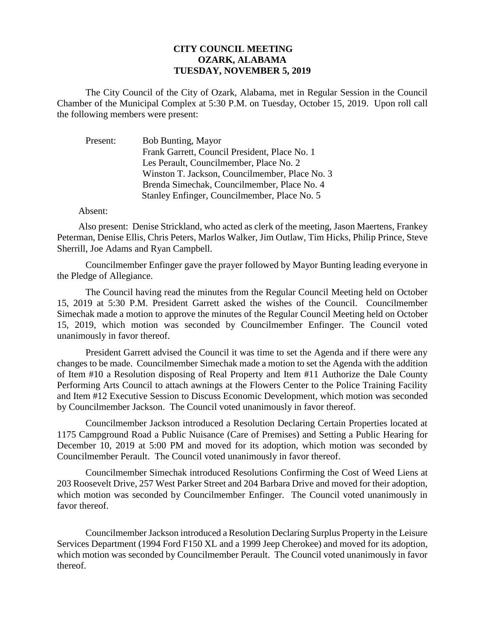## **CITY COUNCIL MEETING OZARK, ALABAMA TUESDAY, NOVEMBER 5, 2019**

The City Council of the City of Ozark, Alabama, met in Regular Session in the Council Chamber of the Municipal Complex at 5:30 P.M. on Tuesday, October 15, 2019. Upon roll call the following members were present:

| Present: | Bob Bunting, Mayor                             |
|----------|------------------------------------------------|
|          | Frank Garrett, Council President, Place No. 1  |
|          | Les Perault, Councilmember, Place No. 2        |
|          | Winston T. Jackson, Councilmember, Place No. 3 |
|          | Brenda Simechak, Councilmember, Place No. 4    |
|          | Stanley Enfinger, Councilmember, Place No. 5   |

## Absent:

Also present: Denise Strickland, who acted as clerk of the meeting, Jason Maertens, Frankey Peterman, Denise Ellis, Chris Peters, Marlos Walker, Jim Outlaw, Tim Hicks, Philip Prince, Steve Sherrill, Joe Adams and Ryan Campbell.

Councilmember Enfinger gave the prayer followed by Mayor Bunting leading everyone in the Pledge of Allegiance.

The Council having read the minutes from the Regular Council Meeting held on October 15, 2019 at 5:30 P.M. President Garrett asked the wishes of the Council. Councilmember Simechak made a motion to approve the minutes of the Regular Council Meeting held on October 15, 2019, which motion was seconded by Councilmember Enfinger. The Council voted unanimously in favor thereof.

President Garrett advised the Council it was time to set the Agenda and if there were any changes to be made. Councilmember Simechak made a motion to set the Agenda with the addition of Item #10 a Resolution disposing of Real Property and Item #11 Authorize the Dale County Performing Arts Council to attach awnings at the Flowers Center to the Police Training Facility and Item #12 Executive Session to Discuss Economic Development, which motion was seconded by Councilmember Jackson. The Council voted unanimously in favor thereof.

Councilmember Jackson introduced a Resolution Declaring Certain Properties located at 1175 Campground Road a Public Nuisance (Care of Premises) and Setting a Public Hearing for December 10, 2019 at 5:00 PM and moved for its adoption, which motion was seconded by Councilmember Perault. The Council voted unanimously in favor thereof.

Councilmember Simechak introduced Resolutions Confirming the Cost of Weed Liens at 203 Roosevelt Drive, 257 West Parker Street and 204 Barbara Drive and moved for their adoption, which motion was seconded by Councilmember Enfinger. The Council voted unanimously in favor thereof.

Councilmember Jackson introduced a Resolution Declaring Surplus Property in the Leisure Services Department (1994 Ford F150 XL and a 1999 Jeep Cherokee) and moved for its adoption, which motion was seconded by Councilmember Perault. The Council voted unanimously in favor thereof.